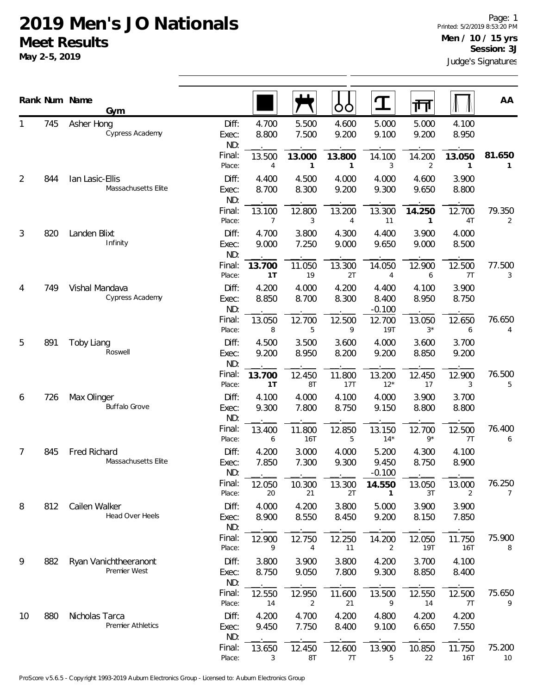## **2019 Men's JO Nationals Meet Results**

**May 2-5, 2019**

|                | Rank Num Name | Gym                                        |                       |                          |                | O<br>O         | $\mathbf T$                | 帀                     |                        | AA                       |
|----------------|---------------|--------------------------------------------|-----------------------|--------------------------|----------------|----------------|----------------------------|-----------------------|------------------------|--------------------------|
|                | 745           | Asher Hong<br>Cypress Academy              | Diff:<br>Exec:<br>ND: | 4.700<br>8.800           | 5.500<br>7.500 | 4.600<br>9.200 | 5.000<br>9.100             | 5.000<br>9.200        | 4.100<br>8.950         |                          |
|                |               |                                            | Final:<br>Place:      | 13.500<br>$\overline{4}$ | 13.000<br>1    | 13.800<br>1    | 14.100<br>3                | 14.200<br>2           | 13.050<br>$\mathbf{1}$ | 81.650<br>$\mathbf{1}$   |
| $\overline{2}$ | 844           | Ian Lasic-Ellis<br>Massachusetts Elite     | Diff:<br>Exec:<br>ND: | 4.400<br>8.700           | 4.500<br>8.300 | 4.000<br>9.200 | 4.000<br>9.300             | 4.600<br>9.650        | 3.900<br>8.800         |                          |
|                |               |                                            | Final:<br>Place:      | 13.100<br>$\overline{7}$ | 12.800<br>3    | 13.200<br>4    | 13.300<br>11               | 14.250<br>1           | 12.700<br>4T           | 79.350<br>2              |
| 3              | 820           | Landen Blixt<br>Infinity                   | Diff:<br>Exec:<br>ND: | 4.700<br>9.000           | 3.800<br>7.250 | 4.300<br>9.000 | 4.400<br>9.650             | 3.900<br>9.000        | 4.000<br>8.500         |                          |
|                |               |                                            | Final:<br>Place:      | 13.700<br>1T             | 11.050<br>19   | 13.300<br>2T   | 14.050<br>4                | 12.900<br>6           | 12.500<br>7T           | 77.500<br>3              |
| 4              | 749           | Vishal Mandava<br>Cypress Academy          | Diff:<br>Exec:<br>ND: | 4.200<br>8.850           | 4.000<br>8.700 | 4.200<br>8.300 | 4.400<br>8.400<br>$-0.100$ | 4.100<br>8.950        | 3.900<br>8.750         |                          |
|                |               |                                            | Final:<br>Place:      | 13.050<br>8              | 12.700<br>5    | 12.500<br>9    | 12.700<br>19T              | 13.050<br>$3^{\star}$ | 12.650<br>6            | 76.650<br>4              |
| 5              | 891           | Toby Liang<br>Roswell                      | Diff:<br>Exec:<br>ND: | 4.500<br>9.200           | 3.500<br>8.950 | 3.600<br>8.200 | 4.000<br>9.200             | 3.600<br>8.850        | 3.700<br>9.200         |                          |
|                |               |                                            | Final:<br>Place:      | 13.700<br>1T             | 12.450<br>8T   | 11.800<br>17T  | 13.200<br>$12*$            | 12.450<br>17          | 12.900<br>3            | 76.500<br>5              |
| 6              | 726           | Max Olinger<br><b>Buffalo Grove</b>        | Diff:<br>Exec:<br>ND: | 4.100<br>9.300           | 4.000<br>7.800 | 4.100<br>8.750 | 4.000<br>9.150             | 3.900<br>8.800        | 3.700<br>8.800         |                          |
|                |               |                                            | Final:<br>Place:      | 13.400<br>6              | 11.800<br>16T  | 12.850<br>5    | 13.150<br>$14*$            | 12.700<br>$9*$        | 12.500<br>7T           | 76.400<br>6              |
| 7              | 845           | Fred Richard<br>Massachusetts Elite        | Diff:<br>Exec:<br>ND: | 4.200<br>7.850           | 3.000<br>7.300 | 4.000<br>9.300 | 5.200<br>9.450<br>$-0.100$ | 4.300<br>8.750        | 4.100<br>8.900         |                          |
|                |               |                                            | Final:<br>Place:      | 12.050<br>20             | 10.300<br>21   | 13.300<br>2Τ   | 14.550<br>1                | 13.050<br>3T          | 13.000<br>2            | 76.250<br>$\overline{7}$ |
| 8              | 812           | Cailen Walker<br>Head Over Heels           | Diff:<br>Exec:<br>ND: | 4.000<br>8.900           | 4.200<br>8.550 | 3.800<br>8.450 | 5.000<br>9.200             | 3.900<br>8.150        | 3.900<br>7.850         |                          |
|                |               |                                            | Final:<br>Place:      | 12.900<br>9              | 12.750<br>4    | 12.250<br>11   | 14.200<br>2                | 12.050<br>19T         | 11.750<br>16T          | 75.900<br>8              |
| 9              | 882           | Ryan Vanichtheeranont<br>Premier West      | Diff:<br>Exec:<br>ND: | 3.800<br>8.750           | 3.900<br>9.050 | 3.800<br>7.800 | 4.200<br>9.300             | 3.700<br>8.850        | 4.100<br>8.400         |                          |
|                |               |                                            | Final:<br>Place:      | 12.550<br>14             | 12.950<br>2    | 11.600<br>21   | 13.500<br>9                | 12.550<br>14          | 12.500<br>7T           | 75.650<br>9              |
| 10             | 880           | Nicholas Tarca<br><b>Premier Athletics</b> | Diff:<br>Exec:<br>ND: | 4.200<br>9.450           | 4.700<br>7.750 | 4.200<br>8.400 | 4.800<br>9.100             | 4.200<br>6.650        | 4.200<br>7.550         |                          |
|                |               |                                            | Final:<br>Place:      | 13.650<br>3              | 12.450<br>8T   | 12.600<br>7T   | 13.900<br>5                | 10.850<br>22          | 11.750<br>16T          | 75.200<br>10             |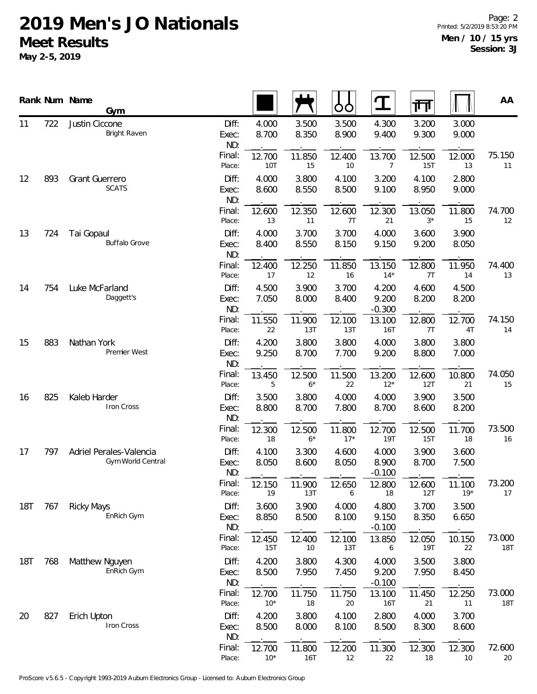## **2019 Men's JO Nationals Meet Results**

**May 2-5, 2019**

|            |     | Rank Num Name<br>Gym                                |                       |                 |                | ŌŌ              | Ţ                          | गंग            |                 | AA                   |
|------------|-----|-----------------------------------------------------|-----------------------|-----------------|----------------|-----------------|----------------------------|----------------|-----------------|----------------------|
| 11         | 722 | Justin Ciccone<br>Bright Raven                      | Diff:<br>Exec:<br>ND: | 4.000<br>8.700  | 3.500<br>8.350 | 3.500<br>8.900  | 4.300<br>9.400             | 3.200<br>9.300 | 3.000<br>9.000  |                      |
|            |     |                                                     | Final:<br>Place:      | 12.700<br>10T   | 11.850<br>15   | 12.400<br>10    | 13.700<br>7                | 12.500<br>15T  | 12.000<br>13    | 75.150<br>11         |
| 12         | 893 | <b>Grant Guerrero</b><br><b>SCATS</b>               | Diff:<br>Exec:<br>ND: | 4.000<br>8.600  | 3.800<br>8.550 | 4.100<br>8.500  | 3.200<br>9.100             | 4.100<br>8.950 | 2.800<br>9.000  |                      |
|            |     |                                                     | Final:<br>Place:      | 12.600<br>13    | 12.350<br>11   | 12.600<br>7T    | 12.300<br>21               | 13.050<br>$3*$ | 11.800<br>15    | 74.700<br>12         |
| 13         | 724 | Tai Gopaul<br><b>Buffalo Grove</b>                  | Diff:<br>Exec:<br>ND: | 4.000<br>8.400  | 3.700<br>8.550 | 3.700<br>8.150  | 4.000<br>9.150             | 3.600<br>9.200 | 3.900<br>8.050  |                      |
|            |     |                                                     | Final:<br>Place:      | 12.400<br>17    | 12.250<br>12   | 11.850<br>16    | 13.150<br>$14*$            | 12.800<br>7T   | 11.950<br>14    | 74.400<br>13         |
| 14         | 754 | Luke McFarland<br>Daggett's                         | Diff:<br>Exec:<br>ND: | 4.500<br>7.050  | 3.900<br>8.000 | 3.700<br>8.400  | 4.200<br>9.200<br>$-0.300$ | 4.600<br>8.200 | 4.500<br>8.200  |                      |
|            |     |                                                     | Final:<br>Place:      | 11.550<br>22    | 11.900<br>13T  | 12.100<br>13T   | 13.100<br>16T              | 12.800<br>7T   | 12.700<br>4T    | 74.150<br>14         |
| 15         | 883 | Nathan York<br>Premier West                         | Diff:<br>Exec:<br>ND: | 4.200<br>9.250  | 3.800<br>8.700 | 3.800<br>7.700  | 4.000<br>9.200             | 3.800<br>8.800 | 3.800<br>7.000  |                      |
|            |     |                                                     | Final:<br>Place:      | 13.450<br>5     | 12.500<br>$6*$ | 11.500<br>22    | 13.200<br>$12*$            | 12.600<br>12T  | 10.800<br>21    | 74.050<br>15         |
| 16         | 825 | Kaleb Harder<br><b>Iron Cross</b>                   | Diff:<br>Exec:<br>ND: | 3.500<br>8.800  | 3.800<br>8.700 | 4.000<br>7.800  | 4.000<br>8.700             | 3.900<br>8.600 | 3.500<br>8.200  |                      |
|            |     |                                                     | Final:<br>Place:      | 12.300<br>18    | 12.500<br>$6*$ | 11.800<br>$17*$ | 12.700<br>19T              | 12.500<br>15T  | 11.700<br>18    | 73.500<br>16         |
| 17         | 797 | Adriel Perales-Valencia<br><b>Gym World Central</b> | Diff:<br>Exec:<br>ND: | 4.100<br>8.050  | 3.300<br>8.600 | 4.600<br>8.050  | 4.000<br>8.900<br>$-0.100$ | 3.900<br>8.700 | 3.600<br>7.500  |                      |
|            |     |                                                     | Final:<br>Place:      | 12.150<br>19    | 11.900<br>13T  | 12.650<br>6     | 12.800<br>18               | 12.600<br>12T  | 11.100<br>$19*$ | 73.200<br>17         |
| 18T        | 767 | <b>Ricky Mays</b><br>EnRich Gym                     | Diff:<br>Exec:<br>ND: | 3.600<br>8.850  | 3.900<br>8.500 | 4.000<br>8.100  | 4.800<br>9.150<br>$-0.100$ | 3.700<br>8.350 | 3.500<br>6.650  |                      |
|            |     |                                                     | Final:<br>Place:      | 12.450<br>15T   | 12.400<br>10   | 12.100<br>13T   | 13.850<br>6                | 12.050<br>19T  | 10.150<br>22    | 73.000<br>18T        |
| <b>18T</b> | 768 | Matthew Nguyen<br>EnRich Gym                        | Diff:<br>Exec:<br>ND: | 4.200<br>8.500  | 3.800<br>7.950 | 4.300<br>7.450  | 4.000<br>9.200<br>$-0.100$ | 3.500<br>7.950 | 3.800<br>8.450  |                      |
|            |     |                                                     | Final:<br>Place:      | 12.700<br>$10*$ | 11.750<br>18   | 11.750<br>20    | 13.100<br>16T              | 11.450<br>21   | 12.250<br>11    | 73.000<br><b>18T</b> |
| 20         | 827 | Erich Upton<br>Iron Cross                           | Diff:<br>Exec:<br>ND: | 4.200<br>8.500  | 3.800<br>8.000 | 4.100<br>8.100  | 2.800<br>8.500             | 4.000<br>8.300 | 3.700<br>8.600  |                      |
|            |     |                                                     | Final:<br>Place:      | 12.700<br>$10*$ | 11.800<br>16T  | 12.200<br>12    | 11.300<br>22               | 12.300<br>18   | 12.300<br>10    | 72.600<br>20         |